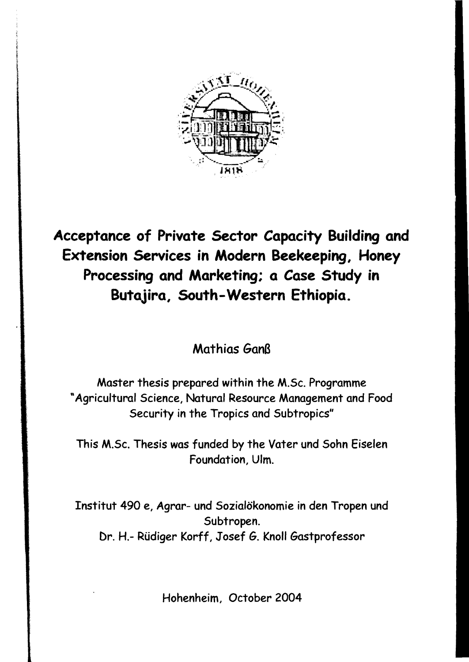

## **Acceptance of Private Sector Capacity Building and Extension Services in Modern Beekeeping, Honey Processing and Marketing; a** *Case* **Study in Butajira, South-Western Ethiopia.**

Mathias Ganß

Master thesis prepared within the M.Sc. Programme "Agricultural Science, Natural Resource Management and Food Security in the Tropics and Subtropics"

This M.Sc. Thesis was funded by the Vater und Sohn Eiselen Foundation, Ulm.

Institut 490 e, Agrar- und Sozialökonomie in den Tropen und Subtropen. Dr. H.- Rüdiger Korff, Josef G. Knoll Gastprofessor

Hohenheim, October 2004